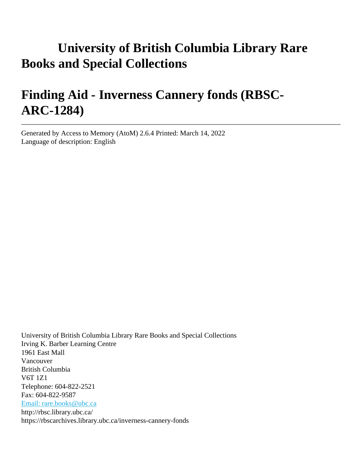# **University of British Columbia Library Rare Books and Special Collections**

# **Finding Aid - Inverness Cannery fonds (RBSC-ARC-1284)**

Generated by Access to Memory (AtoM) 2.6.4 Printed: March 14, 2022 Language of description: English

University of British Columbia Library Rare Books and Special Collections Irving K. Barber Learning Centre 1961 East Mall Vancouver British Columbia V6T 1Z1 Telephone: 604-822-2521 Fax: 604-822-9587 [Email: rare.books@ubc.ca](mailto:Email: rare.books@ubc.ca) http://rbsc.library.ubc.ca/ https://rbscarchives.library.ubc.ca/inverness-cannery-fonds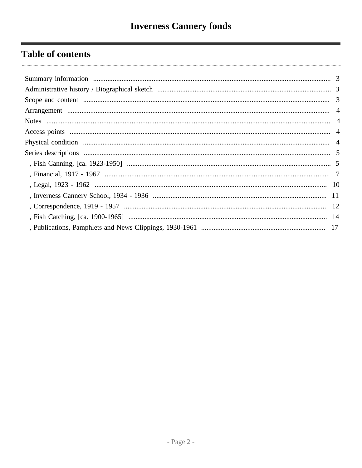# **Table of contents**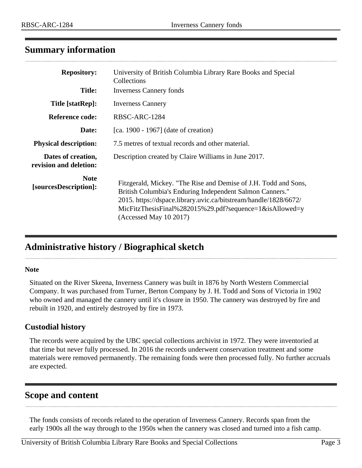# <span id="page-2-0"></span>**Summary information**

| <b>Repository:</b>                           | University of British Columbia Library Rare Books and Special<br>Collections                                                                                                                                                                                                             |
|----------------------------------------------|------------------------------------------------------------------------------------------------------------------------------------------------------------------------------------------------------------------------------------------------------------------------------------------|
| <b>Title:</b>                                | <b>Inverness Cannery fonds</b>                                                                                                                                                                                                                                                           |
| Title [statRep]:                             | <b>Inverness Cannery</b>                                                                                                                                                                                                                                                                 |
| Reference code:                              | RBSC-ARC-1284                                                                                                                                                                                                                                                                            |
| Date:                                        | [ca. $1900 - 1967$ ] (date of creation)                                                                                                                                                                                                                                                  |
| <b>Physical description:</b>                 | 7.5 metres of textual records and other material.                                                                                                                                                                                                                                        |
| Dates of creation,<br>revision and deletion: | Description created by Claire Williams in June 2017.                                                                                                                                                                                                                                     |
| <b>Note</b><br>[sourcesDescription]:         | Fitzgerald, Mickey. "The Rise and Demise of J.H. Todd and Sons,<br>British Columbia's Enduring Independent Salmon Canners."<br>2015. https://dspace.library.uvic.ca/bitstream/handle/1828/6672/<br>MicFitzThesisFinal%282015%29.pdf?sequence=1&isAllowed=y<br>(Accessed May $10\,2017$ ) |

# <span id="page-2-1"></span>**Administrative history / Biographical sketch**

#### **Note**

Situated on the River Skeena, Inverness Cannery was built in 1876 by North Western Commercial Company. It was purchased from Turner, Berton Company by J. H. Todd and Sons of Victoria in 1902 who owned and managed the cannery until it's closure in 1950. The cannery was destroyed by fire and rebuilt in 1920, and entirely destroyed by fire in 1973.

#### **Custodial history**

The records were acquired by the UBC special collections archivist in 1972. They were inventoried at that time but never fully processed. In 2016 the records underwent conservation treatment and some materials were removed permanently. The remaining fonds were then processed fully. No further accruals are expected.

## <span id="page-2-2"></span>**Scope and content**

The fonds consists of records related to the operation of Inverness Cannery. Records span from the early 1900s all the way through to the 1950s when the cannery was closed and turned into a fish camp.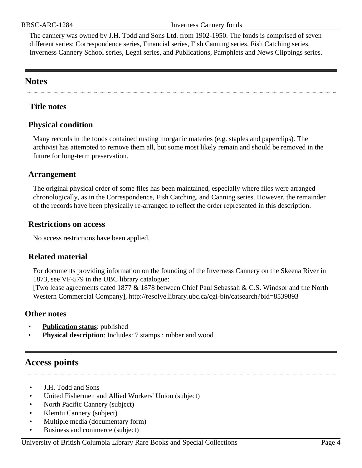The cannery was owned by J.H. Todd and Sons Ltd. from 1902-1950. The fonds is comprised of seven different series: Correspondence series, Financial series, Fish Canning series, Fish Catching series, Inverness Cannery School series, Legal series, and Publications, Pamphlets and News Clippings series.

# <span id="page-3-1"></span>**Notes**

## **Title notes**

## <span id="page-3-3"></span>**Physical condition**

Many records in the fonds contained rusting inorganic materies (e.g. staples and paperclips). The archivist has attempted to remove them all, but some most likely remain and should be removed in the future for long-term preservation.

## <span id="page-3-0"></span>**Arrangement**

The original physical order of some files has been maintained, especially where files were arranged chronologically, as in the Correspondence, Fish Catching, and Canning series. However, the remainder of the records have been physically re-arranged to reflect the order represented in this description.

#### **Restrictions on access**

No access restrictions have been applied.

## **Related material**

For documents providing information on the founding of the Inverness Cannery on the Skeena River in 1873, see VF-579 in the UBC library catalogue:

[Two lease agreements dated 1877 & 1878 between Chief Paul Sebassah & C.S. Windsor and the North Western Commercial Company], http://resolve.library.ubc.ca/cgi-bin/catsearch?bid=8539893

#### **Other notes**

- **Publication status:** published
- **Physical description**: Includes: 7 stamps : rubber and wood

# <span id="page-3-2"></span>**Access points**

- J.H. Todd and Sons
- United Fishermen and Allied Workers' Union (subject)
- North Pacific Cannery (subject)
- Klemtu Cannery (subject)
- Multiple media (documentary form)
- Business and commerce (subject)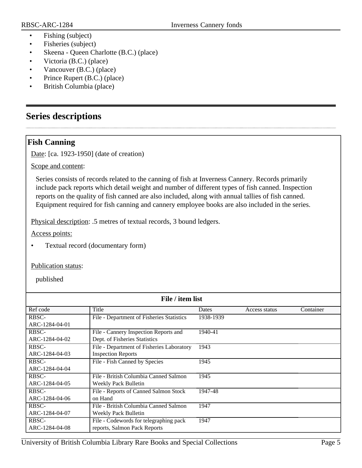- Fishing (subject)
- Fisheries (subject)
- Skeena Queen Charlotte (B.C.) (place)
- Victoria (B.C.) (place)
- Vancouver (B.C.) (place)
- Prince Rupert (B.C.) (place)
- British Columbia (place)

# <span id="page-4-0"></span>**Series descriptions**

## <span id="page-4-1"></span>**Fish Canning**

Date: [ca. 1923-1950] (date of creation)

Scope and content:

Series consists of records related to the canning of fish at Inverness Cannery. Records primarily include pack reports which detail weight and number of different types of fish canned. Inspection reports on the quality of fish canned are also included, along with annual tallies of fish canned. Equipment required for fish canning and cannery employee books are also included in the series.

Physical description: .5 metres of textual records, 3 bound ledgers.

Access points:

• Textual record (documentary form)

#### Publication status:

| File / item list |                                           |              |               |           |
|------------------|-------------------------------------------|--------------|---------------|-----------|
| Ref code         | Title                                     | <b>Dates</b> | Access status | Container |
| RBSC-            | File - Department of Fisheries Statistics | 1938-1939    |               |           |
| ARC-1284-04-01   |                                           |              |               |           |
| RBSC-            | File - Cannery Inspection Reports and     | 1940-41      |               |           |
| ARC-1284-04-02   | Dept. of Fisheries Statistics             |              |               |           |
| RBSC-            | File - Department of Fisheries Laboratory | 1943         |               |           |
| ARC-1284-04-03   | <b>Inspection Reports</b>                 |              |               |           |
| RBSC-            | File - Fish Canned by Species             | 1945         |               |           |
| ARC-1284-04-04   |                                           |              |               |           |
| RBSC-            | File - British Columbia Canned Salmon     | 1945         |               |           |
| ARC-1284-04-05   | Weekly Pack Bulletin                      |              |               |           |
| RBSC-            | File - Reports of Canned Salmon Stock     | 1947-48      |               |           |
| ARC-1284-04-06   | on Hand                                   |              |               |           |
| RBSC-            | File - British Columbia Canned Salmon     | 1947         |               |           |
| ARC-1284-04-07   | Weekly Pack Bulletin                      |              |               |           |
| RBSC-            | File - Codewords for telegraphing pack    | 1947         |               |           |
| ARC-1284-04-08   | reports, Salmon Pack Reports              |              |               |           |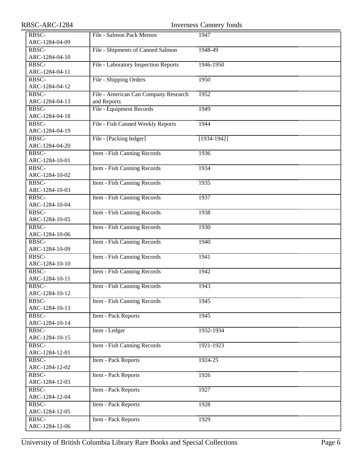| RBSC-ARC-1284           |                                                     | <b>Inverness Cannery fonds</b> |
|-------------------------|-----------------------------------------------------|--------------------------------|
| RBSC-<br>ARC-1284-04-09 | File - Salmon Pack Memos                            | 1947                           |
| RBSC-<br>ARC-1284-04-10 | File - Shipments of Canned Salmon                   | 1948-49                        |
| RBSC-<br>ARC-1284-04-11 | File - Laboratory Inspection Reports                | 1946-1950                      |
| RBSC-<br>ARC-1284-04-12 | File - Shipping Orders                              | 1950                           |
| RBSC-<br>ARC-1284-04-13 | File - American Can Company Research<br>and Reports | 1952                           |
| RBSC-<br>ARC-1284-04-18 | File - Equipment Records                            | 1949                           |
| RBSC-<br>ARC-1284-04-19 | File - Fish Canned Weekly Reports                   | 1944                           |
| RBSC-<br>ARC-1284-04-20 | File - [Packing ledger]                             | $[1934-1942]$                  |
| RBSC-<br>ARC-1284-10-01 | Item - Fish Canning Records                         | 1936                           |
| RBSC-<br>ARC-1284-10-02 | Item - Fish Canning Records                         | 1934                           |
| RBSC-<br>ARC-1284-10-03 | Item - Fish Canning Records                         | 1935                           |
| RBSC-<br>ARC-1284-10-04 | Item - Fish Canning Records                         | 1937                           |
| RBSC-<br>ARC-1284-10-05 | Item - Fish Canning Records                         | 1938                           |
| RBSC-<br>ARC-1284-10-06 | Item - Fish Canning Records                         | 1930                           |
| RBSC-<br>ARC-1284-10-09 | Item - Fish Canning Records                         | 1940                           |
| RBSC-<br>ARC-1284-10-10 | Item - Fish Canning Records                         | 1941                           |
| RBSC-<br>ARC-1284-10-11 | Item - Fish Canning Records                         | 1942                           |
| RBSC-<br>ARC-1284-10-12 | Item - Fish Canning Records                         | 1943                           |
| RBSC-<br>ARC-1284-10-13 | Item - Fish Canning Records                         | 1945                           |
| RBSC-<br>ARC-1284-10-14 | <b>Item - Pack Reports</b>                          | 1945                           |
| RBSC-<br>ARC-1284-10-15 | Item - Ledger                                       | 1932-1934                      |
| RBSC-<br>ARC-1284-12-01 | Item - Fish Canning Records                         | 1921-1923                      |
| RBSC-<br>ARC-1284-12-02 | <b>Item - Pack Reports</b>                          | 1924-25                        |
| RBSC-<br>ARC-1284-12-03 | <b>Item - Pack Reports</b>                          | 1926                           |
| RBSC-<br>ARC-1284-12-04 | Item - Pack Reports                                 | 1927                           |
| RBSC-<br>ARC-1284-12-05 | <b>Item - Pack Reports</b>                          | 1928                           |
| RBSC-<br>ARC-1284-12-06 | Item - Pack Reports                                 | 1929                           |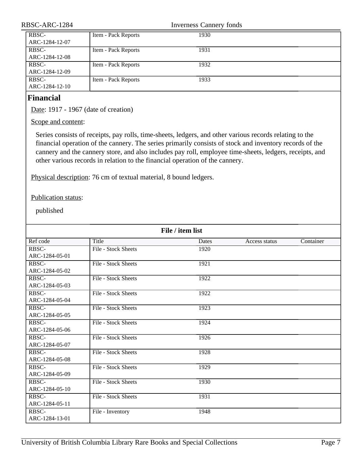| RBSC-ARC-1284           |                     | <b>Inverness Cannery fonds</b> |  |
|-------------------------|---------------------|--------------------------------|--|
| RBSC-<br>ARC-1284-12-07 | Item - Pack Reports | 1930                           |  |
| RBSC-<br>ARC-1284-12-08 | Item - Pack Reports | 1931                           |  |
| RBSC-<br>ARC-1284-12-09 | Item - Pack Reports | 1932                           |  |
| RBSC-<br>ARC-1284-12-10 | Item - Pack Reports | 1933                           |  |

## <span id="page-6-0"></span>**Financial**

Date: 1917 - 1967 (date of creation)

#### Scope and content:

Series consists of receipts, pay rolls, time-sheets, ledgers, and other various records relating to the financial operation of the cannery. The series primarily consists of stock and inventory records of the cannery and the cannery store, and also includes pay roll, employee time-sheets, ledgers, receipts, and other various records in relation to the financial operation of the cannery.

Physical description: 76 cm of textual material, 8 bound ledgers.

Publication status:

| File / item list |                     |              |               |           |
|------------------|---------------------|--------------|---------------|-----------|
| Ref code         | Title               | <b>Dates</b> | Access status | Container |
| RBSC-            | File - Stock Sheets | 1920         |               |           |
| ARC-1284-05-01   |                     |              |               |           |
| RBSC-            | File - Stock Sheets | 1921         |               |           |
| ARC-1284-05-02   |                     |              |               |           |
| RBSC-            | File - Stock Sheets | 1922         |               |           |
| ARC-1284-05-03   |                     |              |               |           |
| RBSC-            | File - Stock Sheets | 1922         |               |           |
| ARC-1284-05-04   |                     |              |               |           |
| RBSC-            | File - Stock Sheets | 1923         |               |           |
| ARC-1284-05-05   |                     |              |               |           |
| RBSC-            | File - Stock Sheets | 1924         |               |           |
| ARC-1284-05-06   |                     |              |               |           |
| RBSC-            | File - Stock Sheets | 1926         |               |           |
| ARC-1284-05-07   |                     |              |               |           |
| RBSC-            | File - Stock Sheets | 1928         |               |           |
| ARC-1284-05-08   |                     |              |               |           |
| RBSC-            | File - Stock Sheets | 1929         |               |           |
| ARC-1284-05-09   |                     |              |               |           |
| RBSC-            | File - Stock Sheets | 1930         |               |           |
| ARC-1284-05-10   |                     |              |               |           |
| RBSC-            | File - Stock Sheets | 1931         |               |           |
| ARC-1284-05-11   |                     |              |               |           |
| RBSC-            | File - Inventory    | 1948         |               |           |
| ARC-1284-13-01   |                     |              |               |           |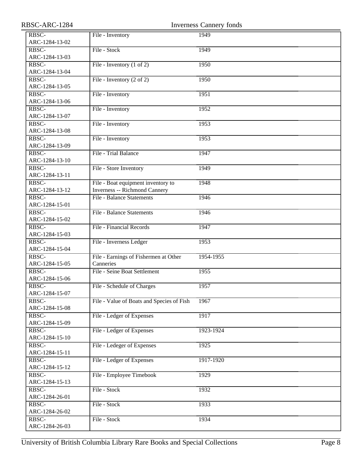| RBSC-ARC-1284           | <b>Inverness Cannery fonds</b>            |           |  |
|-------------------------|-------------------------------------------|-----------|--|
| RBSC-                   | File - Inventory                          | 1949      |  |
| ARC-1284-13-02          |                                           |           |  |
| RBSC-                   | File - Stock                              | 1949      |  |
| ARC-1284-13-03          |                                           |           |  |
| RBSC-                   | File - Inventory $(1 \text{ of } 2)$      | 1950      |  |
| ARC-1284-13-04          |                                           |           |  |
| RBSC-                   | File - Inventory $(2 \text{ of } 2)$      | 1950      |  |
| ARC-1284-13-05          |                                           |           |  |
| RBSC-                   | File - Inventory                          | 1951      |  |
| ARC-1284-13-06          |                                           |           |  |
| RBSC-                   | File - Inventory                          | 1952      |  |
| ARC-1284-13-07          |                                           |           |  |
| RBSC-                   | File - Inventory                          | 1953      |  |
| ARC-1284-13-08          |                                           |           |  |
| RBSC-                   | File - Inventory                          | 1953      |  |
| ARC-1284-13-09          |                                           |           |  |
| RBSC-                   | File - Trial Balance                      | 1947      |  |
| ARC-1284-13-10          |                                           |           |  |
| RBSC-                   | File - Store Inventory                    | 1949      |  |
| ARC-1284-13-11          |                                           |           |  |
| RBSC-                   | File - Boat equipment inventory to        | 1948      |  |
| ARC-1284-13-12          | <b>Inverness -- Richmond Cannery</b>      |           |  |
| RBSC-                   | <b>File - Balance Statements</b>          | 1946      |  |
| ARC-1284-15-01          |                                           |           |  |
| RBSC-                   | File - Balance Statements                 | 1946      |  |
| ARC-1284-15-02          |                                           |           |  |
| RBSC-                   | File - Financial Records                  | 1947      |  |
| ARC-1284-15-03          |                                           |           |  |
| RBSC-                   | File - Inverness Ledger                   | 1953      |  |
| ARC-1284-15-04          |                                           |           |  |
| RBSC-                   | File - Earnings of Fishermen at Other     | 1954-1955 |  |
| ARC-1284-15-05          | Canneries                                 |           |  |
| RBSC-<br>ARC-1284-15-06 | File - Seine Boat Settlement              | 1955      |  |
|                         |                                           |           |  |
| RBSC-<br>ARC-1284-15-07 | File - Schedule of Charges                | 1957      |  |
|                         |                                           | 1967      |  |
| RBSC-<br>ARC-1284-15-08 | File - Value of Boats and Species of Fish |           |  |
| RBSC-                   | File - Ledger of Expenses                 | 1917      |  |
| ARC-1284-15-09          |                                           |           |  |
| RBSC-                   | File - Ledger of Expenses                 | 1923-1924 |  |
| ARC-1284-15-10          |                                           |           |  |
| RBSC-                   | File - Ledeger of Expenses                | 1925      |  |
| ARC-1284-15-11          |                                           |           |  |
| RBSC-                   | File - Ledger of Expenses                 | 1917-1920 |  |
| ARC-1284-15-12          |                                           |           |  |
| RBSC-                   | File - Employee Timebook                  | 1929      |  |
| ARC-1284-15-13          |                                           |           |  |
| RBSC-                   | File - Stock                              | 1932      |  |
| ARC-1284-26-01          |                                           |           |  |
| RBSC-                   | File - Stock                              | 1933      |  |
| ARC-1284-26-02          |                                           |           |  |
| RBSC-                   | File - Stock                              | 1934      |  |
| ARC-1284-26-03          |                                           |           |  |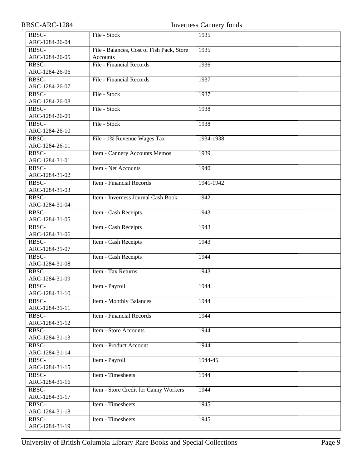| RBSC-          | File - Stock                              | 1935      |
|----------------|-------------------------------------------|-----------|
| ARC-1284-26-04 |                                           |           |
| RBSC-          | File - Balances, Cost of Fish Pack, Store | 1935      |
| ARC-1284-26-05 | Accounts                                  |           |
| RBSC-          | <b>File - Financial Records</b>           | 1936      |
| ARC-1284-26-06 |                                           |           |
| RBSC-          | File - Financial Records                  | 1937      |
| ARC-1284-26-07 |                                           |           |
| RBSC-          | File - Stock                              | 1937      |
|                |                                           |           |
| ARC-1284-26-08 |                                           |           |
| RBSC-          | File - Stock                              | 1938      |
| ARC-1284-26-09 |                                           |           |
| RBSC-          | File - Stock                              | 1938      |
| ARC-1284-26-10 |                                           |           |
| RBSC-          | File - 1% Revenue Wages Tax               | 1934-1938 |
| ARC-1284-26-11 |                                           |           |
| RBSC-          | <b>Item - Cannery Accounts Memos</b>      | 1939      |
| ARC-1284-31-01 |                                           |           |
| RBSC-          | <b>Item - Net Accounts</b>                | 1940      |
| ARC-1284-31-02 |                                           |           |
| RBSC-          | <b>Item - Financial Records</b>           | 1941-1942 |
| ARC-1284-31-03 |                                           |           |
| RBSC-          | Item - Inverness Journal Cash Book        | 1942      |
| ARC-1284-31-04 |                                           |           |
|                |                                           |           |
| RBSC-          | Item - Cash Receipts                      | 1943      |
| ARC-1284-31-05 |                                           |           |
| RBSC-          | <b>Item - Cash Receipts</b>               | 1943      |
| ARC-1284-31-06 |                                           |           |
| RBSC-          | <b>Item - Cash Receipts</b>               | 1943      |
| ARC-1284-31-07 |                                           |           |
| RBSC-          | Item - Cash Receipts                      | 1944      |
| ARC-1284-31-08 |                                           |           |
| RBSC-          | Item - Tax Returns                        | 1943      |
| ARC-1284-31-09 |                                           |           |
| RBSC-          | Item - Payroll                            | 1944      |
| ARC-1284-31-10 |                                           |           |
| RBSC-          | <b>Item - Monthly Balances</b>            | 1944      |
| ARC-1284-31-11 |                                           |           |
| RBSC-          | Item - Financial Records                  | 1944      |
|                |                                           |           |
| ARC-1284-31-12 |                                           |           |
| RBSC-          | Item - Store Accounts                     | 1944      |
| ARC-1284-31-13 |                                           |           |
| RBSC-          | Item - Product Account                    | 1944      |
| ARC-1284-31-14 |                                           |           |
| RBSC-          | Item - Payroll                            | 1944-45   |
| ARC-1284-31-15 |                                           |           |
| RBSC-          | Item - Timesheets                         | 1944      |
| ARC-1284-31-16 |                                           |           |
| RBSC-          | Item - Store Credit for Canny Workers     | 1944      |
| ARC-1284-31-17 |                                           |           |
| RBSC-          | Item - Timesheets                         | 1945      |
|                |                                           |           |
| ARC-1284-31-18 |                                           |           |
| RBSC-          | Item - Timesheets                         | 1945      |

ARC-1284-31-19

RBSC-ARC-1284 Inverness Cannery fonds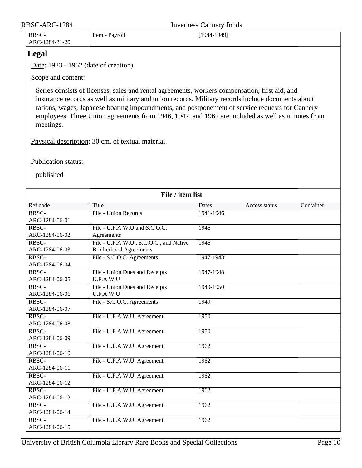<span id="page-9-0"></span>

| RBSC-<br>ARC-1284-31-20              | Item - Payroll                                                                                                                                                                                                                                                                                                                                                                                             | $[1944 - 1949]$ |               |           |
|--------------------------------------|------------------------------------------------------------------------------------------------------------------------------------------------------------------------------------------------------------------------------------------------------------------------------------------------------------------------------------------------------------------------------------------------------------|-----------------|---------------|-----------|
| <b>Legal</b>                         |                                                                                                                                                                                                                                                                                                                                                                                                            |                 |               |           |
|                                      |                                                                                                                                                                                                                                                                                                                                                                                                            |                 |               |           |
| Date: 1923 - 1962 (date of creation) |                                                                                                                                                                                                                                                                                                                                                                                                            |                 |               |           |
| Scope and content:                   |                                                                                                                                                                                                                                                                                                                                                                                                            |                 |               |           |
| meetings.                            | Series consists of licenses, sales and rental agreements, workers compensation, first aid, and<br>insurance records as well as military and union records. Military records include documents about<br>rations, wages, Japanese boating impoundments, and postponement of service requests for Cannery<br>employees. Three Union agreements from 1946, 1947, and 1962 are included as well as minutes from |                 |               |           |
|                                      | Physical description: 30 cm. of textual material.                                                                                                                                                                                                                                                                                                                                                          |                 |               |           |
| Publication status:                  |                                                                                                                                                                                                                                                                                                                                                                                                            |                 |               |           |
| published                            |                                                                                                                                                                                                                                                                                                                                                                                                            |                 |               |           |
|                                      | File / item list                                                                                                                                                                                                                                                                                                                                                                                           |                 |               |           |
| Ref code                             | Title                                                                                                                                                                                                                                                                                                                                                                                                      | Dates           | Access status | Container |
| RBSC-<br>ARC-1284-06-01              | File - Union Records                                                                                                                                                                                                                                                                                                                                                                                       | 1941-1946       |               |           |
| RBSC-                                | File - U.F.A.W.U and S.C.O.C.                                                                                                                                                                                                                                                                                                                                                                              | 1946            |               |           |
| ARC-1284-06-02                       | Agreements                                                                                                                                                                                                                                                                                                                                                                                                 |                 |               |           |
| RBSC-                                | File - U.F.A.W.U., S.C.O.C., and Native                                                                                                                                                                                                                                                                                                                                                                    | 1946            |               |           |
| ARC-1284-06-03                       | <b>Brotherhood Agreements</b>                                                                                                                                                                                                                                                                                                                                                                              |                 |               |           |
| RBSC-<br>ARC-1284-06-04              | File - S.C.O.C. Agreements                                                                                                                                                                                                                                                                                                                                                                                 | 1947-1948       |               |           |
| RBSC-                                | File - Union Dues and Receipts                                                                                                                                                                                                                                                                                                                                                                             | 1947-1948       |               |           |
| ARC-1284-06-05                       | U.F.A.W.U                                                                                                                                                                                                                                                                                                                                                                                                  |                 |               |           |
| RBSC-<br>ARC-1284-06-06              | File - Union Dues and Receipts<br>U.F.A.W.U                                                                                                                                                                                                                                                                                                                                                                | 1949-1950       |               |           |
| RBSC-                                | File - S.C.O.C. Agreements                                                                                                                                                                                                                                                                                                                                                                                 | 1949            |               |           |
| ARC-1284-06-07                       |                                                                                                                                                                                                                                                                                                                                                                                                            |                 |               |           |
| RBSC-<br>ARC-1284-06-08              | File - U.F.A.W.U. Agreement                                                                                                                                                                                                                                                                                                                                                                                | 1950            |               |           |
| RBSC-                                | File - U.F.A.W.U. Agreement                                                                                                                                                                                                                                                                                                                                                                                | 1950            |               |           |
| ARC-1284-06-09                       |                                                                                                                                                                                                                                                                                                                                                                                                            |                 |               |           |
| RBSC-                                | File - U.F.A.W.U. Agreement                                                                                                                                                                                                                                                                                                                                                                                | 1962            |               |           |
| ARC-1284-06-10<br>RBSC-              | File - U.F.A.W.U. Agreement                                                                                                                                                                                                                                                                                                                                                                                | 1962            |               |           |
| ARC-1284-06-11                       |                                                                                                                                                                                                                                                                                                                                                                                                            |                 |               |           |
| RBSC-                                | File - U.F.A.W.U. Agreement                                                                                                                                                                                                                                                                                                                                                                                | 1962            |               |           |
| ARC-1284-06-12                       |                                                                                                                                                                                                                                                                                                                                                                                                            |                 |               |           |
| RBSC-                                | File - U.F.A.W.U. Agreement                                                                                                                                                                                                                                                                                                                                                                                | 1962            |               |           |
| ARC-1284-06-13<br>RBSC-              | File - U.F.A.W.U. Agreement                                                                                                                                                                                                                                                                                                                                                                                | 1962            |               |           |
| ARC-1284-06-14                       |                                                                                                                                                                                                                                                                                                                                                                                                            |                 |               |           |
| RBSC-                                | File - U.F.A.W.U. Agreement                                                                                                                                                                                                                                                                                                                                                                                | 1962            |               |           |
| ARC-1284-06-15                       |                                                                                                                                                                                                                                                                                                                                                                                                            |                 |               |           |

RBSC-ARC-1284 Inverness Cannery fonds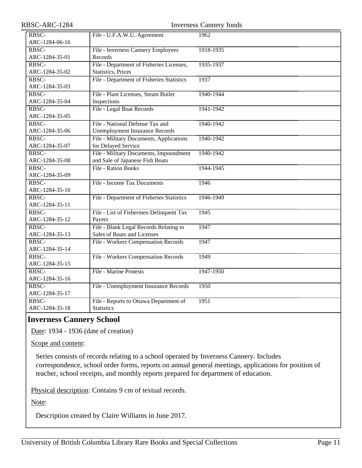| RBSC-ARC-1284  | <b>Inverness Cannery fonds</b>            |           |  |
|----------------|-------------------------------------------|-----------|--|
| RBSC-          | File - U.F.A.W.U. Agreement               | 1962      |  |
| ARC-1284-06-16 |                                           |           |  |
| RBSC-          | File - Inverness Cannery Employees        | 1918-1935 |  |
| ARC-1284-35-01 | Records                                   |           |  |
| RBSC-          | File - Department of Fisheries Licenses,  | 1935-1937 |  |
| ARC-1284-35-02 | Statistics, Prices                        |           |  |
| RBSC-          | File - Department of Fisheries Statistics | 1937      |  |
| ARC-1284-35-03 |                                           |           |  |
| RBSC-          | File - Plant Licenses, Steam Boiler       | 1940-1944 |  |
| ARC-1284-35-04 | Inspections                               |           |  |
| RBSC-          | File - Legal Boat Records                 | 1941-1942 |  |
| ARC-1284-35-05 |                                           |           |  |
| RBSC-          | File - National Defense Tax and           | 1940-1942 |  |
| ARC-1284-35-06 | <b>Unemployment Insurance Records</b>     |           |  |
| RBSC-          | File - Military Documents, Applications   | 1940-1942 |  |
| ARC-1284-35-07 | for Delayed Service                       |           |  |
| RBSC-          | File - Military Documents, Impoundment    | 1940-1942 |  |
| ARC-1284-35-08 | and Sale of Japanese Fish Boats           |           |  |
| RBSC-          | File - Ration Books                       | 1944-1945 |  |
| ARC-1284-35-09 |                                           |           |  |
| RBSC-          | File - Income Tax Documents               | 1946      |  |
| ARC-1284-35-10 |                                           |           |  |
| RBSC-          | File - Department of Fisheries Statistics | 1946-1949 |  |
| ARC-1284-35-11 |                                           |           |  |
| RBSC-          | File - List of Fishermen Delinquent Tax   | 1945      |  |
| ARC-1284-35-12 | Payers                                    |           |  |
| RBSC-          | File - Blank Legal Records Relating to    | 1947      |  |
| ARC-1284-35-13 | Sales of Boats and Licenses               |           |  |
| RBSC-          | File - Workers Compensation Records       | 1947      |  |
| ARC-1284-35-14 |                                           |           |  |
| RBSC-          | File - Workers Compensation Records       | 1949      |  |
| ARC-1284-35-15 |                                           |           |  |
| RBSC-          | <b>File - Marine Protests</b>             | 1947-1950 |  |
| ARC-1284-35-16 |                                           |           |  |
| RBSC-          | File - Unemployment Insurance Records     | 1950      |  |
| ARC-1284-35-17 |                                           |           |  |
| RBSC-          | File - Reports to Ottawa Department of    | 1951      |  |
| ARC-1284-35-18 | <b>Statistics</b>                         |           |  |

## <span id="page-10-0"></span>**Inverness Cannery School**

Date: 1934 - 1936 (date of creation)

Scope and content:

Series consists of records relating to a school operated by Inverness Cannery. Includes correspondence, school order forms, reports on annual general meetings, applications for position of teacher, school receipts, and monthly reports prepared for department of education.

Physical description: Contains 9 cm of textual records.

Note:

Description created by Claire Williams in June 2017.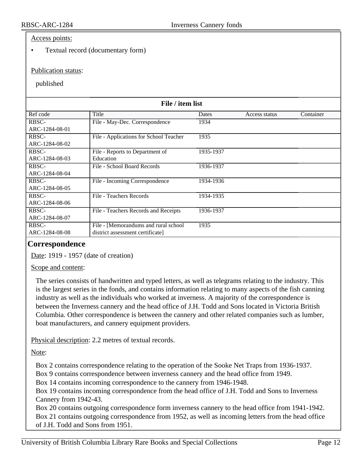#### Access points:

#### • Textual record (documentary form)

#### Publication status:

published

| File / item list |                                        |           |               |           |
|------------------|----------------------------------------|-----------|---------------|-----------|
| Ref code         | Title                                  | Dates     | Access status | Container |
| <b>RBSC-</b>     | File - May-Dec. Correspondence         | 1934      |               |           |
| ARC-1284-08-01   |                                        |           |               |           |
| RBSC-            | File - Applications for School Teacher | 1935      |               |           |
| ARC-1284-08-02   |                                        |           |               |           |
| <b>RBSC-</b>     | File - Reports to Department of        | 1935-1937 |               |           |
| ARC-1284-08-03   | Education                              |           |               |           |
| RBSC-            | File - School Board Records            | 1936-1937 |               |           |
| ARC-1284-08-04   |                                        |           |               |           |
| RBSC-            | File - Incoming Correspondence         | 1934-1936 |               |           |
| ARC-1284-08-05   |                                        |           |               |           |
| RBSC-            | File - Teachers Records                | 1934-1935 |               |           |
| ARC-1284-08-06   |                                        |           |               |           |
| RBSC-            | File - Teachers Records and Receipts   | 1936-1937 |               |           |
| ARC-1284-08-07   |                                        |           |               |           |
| RBSC-            | File - [Memorandums and rural school]  | 1935      |               |           |
| ARC-1284-08-08   | district assessment certificate]       |           |               |           |

## <span id="page-11-0"></span>**Correspondence**

Date: 1919 - 1957 (date of creation)

Scope and content:

The series consists of handwritten and typed letters, as well as telegrams relating to the industry. This is the largest series in the fonds, and contains information relating to many aspects of the fish canning industry as well as the individuals who worked at inverness. A majority of the correspondence is between the Inverness cannery and the head office of J.H. Todd and Sons located in Victoria British Columbia. Other correspondence is between the cannery and other related companies such as lumber, boat manufacturers, and cannery equipment providers.

Physical description: 2.2 metres of textual records.

Note:

Box 2 contains correspondence relating to the operation of the Sooke Net Traps from 1936-1937.

Box 9 contains correspondence between inverness cannery and the head office from 1949.

Box 14 contains incoming correspondence to the cannery from 1946-1948.

Box 19 contains incoming correspondence from the head office of J.H. Todd and Sons to Inverness Cannery from 1942-43.

Box 20 contains outgoing correspondence form inverness cannery to the head office from 1941-1942. Box 21 contains outgoing correspondence from 1952, as well as incoming letters from the head office of J.H. Todd and Sons from 1951.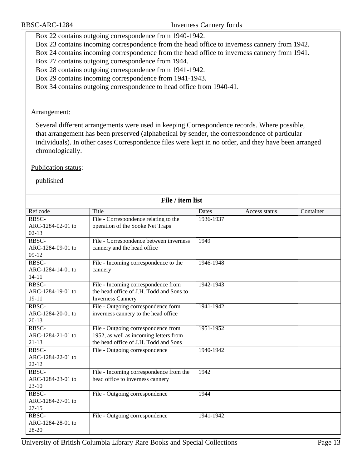Box 22 contains outgoing correspondence from 1940-1942.

Box 23 contains incoming correspondence from the head office to inverness cannery from 1942.

Box 24 contains incoming correspondence from the head office to inverness cannery from 1941.

Box 27 contains outgoing correspondence from 1944.

Box 28 contains outgoing correspondence from 1941-1942.

Box 29 contains incoming correspondence from 1941-1943.

Box 34 contains outgoing correspondence to head office from 1940-41.

#### Arrangement:

Several different arrangements were used in keeping Correspondence records. Where possible, that arrangement has been preserved (alphabetical by sender, the correspondence of particular individuals). In other cases Correspondence files were kept in no order, and they have been arranged chronologically.

#### Publication status:

| File / item list  |                                          |           |               |           |
|-------------------|------------------------------------------|-----------|---------------|-----------|
| Ref code          | <b>Title</b>                             | Dates     | Access status | Container |
| RBSC-             | File - Correspondence relating to the    | 1936-1937 |               |           |
| ARC-1284-02-01 to | operation of the Sooke Net Traps         |           |               |           |
| $02 - 13$         |                                          |           |               |           |
| RBSC-             | File - Correspondence between inverness  | 1949      |               |           |
| ARC-1284-09-01 to | cannery and the head office              |           |               |           |
| $09-12$           |                                          |           |               |           |
| RBSC-             | File - Incoming correspondence to the    | 1946-1948 |               |           |
| ARC-1284-14-01 to | cannery                                  |           |               |           |
| $14 - 11$         |                                          |           |               |           |
| RBSC-             | File - Incoming correspondence from      | 1942-1943 |               |           |
| ARC-1284-19-01 to | the head office of J.H. Todd and Sons to |           |               |           |
| 19-11             | <b>Inverness Cannery</b>                 |           |               |           |
| RBSC-             | File - Outgoing correspondence form      | 1941-1942 |               |           |
| ARC-1284-20-01 to | inverness cannery to the head office     |           |               |           |
| $20-13$           |                                          |           |               |           |
| RBSC-             | File - Outgoing correspondence from      | 1951-1952 |               |           |
| ARC-1284-21-01 to | 1952, as well as incoming letters from   |           |               |           |
| $21-13$           | the head office of J.H. Todd and Sons    |           |               |           |
| RBSC-             | File - Outgoing correspondence           | 1940-1942 |               |           |
| ARC-1284-22-01 to |                                          |           |               |           |
| $22 - 12$         |                                          |           |               |           |
| RBSC-             | File - Incoming correspondence from the  | 1942      |               |           |
| ARC-1284-23-01 to | head office to inverness cannery         |           |               |           |
| $23-10$           |                                          |           |               |           |
| RBSC-             | File - Outgoing correspondence           | 1944      |               |           |
| ARC-1284-27-01 to |                                          |           |               |           |
| $27 - 15$         |                                          |           |               |           |
| RBSC-             | File - Outgoing correspondence           | 1941-1942 |               |           |
| ARC-1284-28-01 to |                                          |           |               |           |
| 28-20             |                                          |           |               |           |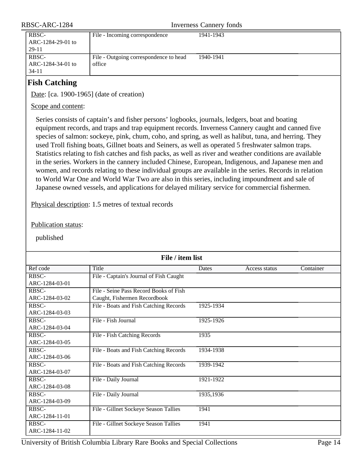| RBSC-ARC-1284                         | <b>Inverness Cannery fonds</b>                   |           |  |
|---------------------------------------|--------------------------------------------------|-----------|--|
| RBSC-<br>ARC-1284-29-01 to<br>29-11   | File - Incoming correspondence                   | 1941-1943 |  |
| RBSC-<br>ARC-1284-34-01 to<br>$34-11$ | File - Outgoing correspondence to head<br>office | 1940-1941 |  |
|                                       |                                                  |           |  |

## <span id="page-13-0"></span>**Fish Catching**

Date: [ca. 1900-1965] (date of creation)

Scope and content:

Series consists of captain's and fisher persons' logbooks, journals, ledgers, boat and boating equipment records, and traps and trap equipment records. Inverness Cannery caught and canned five species of salmon: sockeye, pink, chum, coho, and spring, as well as halibut, tuna, and herring. They used Troll fishing boats, Gillnet boats and Seiners, as well as operated 5 freshwater salmon traps. Statistics relating to fish catches and fish packs, as well as river and weather conditions are available in the series. Workers in the cannery included Chinese, European, Indigenous, and Japanese men and women, and records relating to these individual groups are available in the series. Records in relation to World War One and World War Two are also in this series, including impoundment and sale of Japanese owned vessels, and applications for delayed military service for commercial fishermen.

Physical description: 1.5 metres of textual records

Publication status:

| File / item list |                                         |           |               |           |
|------------------|-----------------------------------------|-----------|---------------|-----------|
| Ref code         | Title                                   | Dates     | Access status | Container |
| RBSC-            | File - Captain's Journal of Fish Caught |           |               |           |
| ARC-1284-03-01   |                                         |           |               |           |
| RBSC-            | File - Seine Pass Record Books of Fish  |           |               |           |
| ARC-1284-03-02   | Caught, Fishermen Recordbook            |           |               |           |
| RBSC-            | File - Boats and Fish Catching Records  | 1925-1934 |               |           |
| ARC-1284-03-03   |                                         |           |               |           |
| RBSC-            | File - Fish Journal                     | 1925-1926 |               |           |
| ARC-1284-03-04   |                                         |           |               |           |
| RBSC-            | File - Fish Catching Records            | 1935      |               |           |
| ARC-1284-03-05   |                                         |           |               |           |
| RBSC-            | File - Boats and Fish Catching Records  | 1934-1938 |               |           |
| ARC-1284-03-06   |                                         |           |               |           |
| RBSC-            | File - Boats and Fish Catching Records  | 1939-1942 |               |           |
| ARC-1284-03-07   |                                         |           |               |           |
| RBSC-            | File - Daily Journal                    | 1921-1922 |               |           |
| ARC-1284-03-08   |                                         |           |               |           |
| RBSC-            | File - Daily Journal                    | 1935,1936 |               |           |
| ARC-1284-03-09   |                                         |           |               |           |
| RBSC-            | File - Gillnet Sockeye Season Tallies   | 1941      |               |           |
| ARC-1284-11-01   |                                         |           |               |           |
| RBSC-            | File - Gillnet Sockeye Season Tallies   | 1941      |               |           |
| ARC-1284-11-02   |                                         |           |               |           |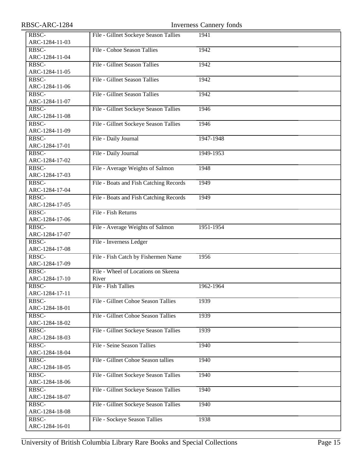| RBSC-ARC-1284           |                                        | <b>Inverness Cannery fonds</b> |
|-------------------------|----------------------------------------|--------------------------------|
| RBSC-<br>ARC-1284-11-03 | File - Gillnet Sockeye Season Tallies  | 1941                           |
| RBSC-<br>ARC-1284-11-04 | File - Cohoe Season Tallies            | 1942                           |
| RBSC-                   | File - Gillnet Season Tallies          | 1942                           |
| ARC-1284-11-05<br>RBSC- | File - Gillnet Season Tallies          | 1942                           |
| ARC-1284-11-06<br>RBSC- | File - Gillnet Season Tallies          | 1942                           |
| ARC-1284-11-07          |                                        |                                |
| RBSC-<br>ARC-1284-11-08 | File - Gillnet Sockeye Season Tallies  | 1946                           |
| RBSC-<br>ARC-1284-11-09 | File - Gillnet Sockeye Season Tallies  | 1946                           |
| RBSC-<br>ARC-1284-17-01 | File - Daily Journal                   | 1947-1948                      |
| RBSC-                   | File - Daily Journal                   | 1949-1953                      |
| ARC-1284-17-02<br>RBSC- | File - Average Weights of Salmon       | 1948                           |
| ARC-1284-17-03<br>RBSC- | File - Boats and Fish Catching Records | 1949                           |
| ARC-1284-17-04<br>RBSC- | File - Boats and Fish Catching Records | 1949                           |
| ARC-1284-17-05          | File - Fish Returns                    |                                |
| RBSC-<br>ARC-1284-17-06 |                                        |                                |
| RBSC-<br>ARC-1284-17-07 | File - Average Weights of Salmon       | 1951-1954                      |
| RBSC-<br>ARC-1284-17-08 | File - Inverness Ledger                |                                |
| RBSC-<br>ARC-1284-17-09 | File - Fish Catch by Fishermen Name    | 1956                           |
| RBSC-                   | File - Wheel of Locations on Skeena    |                                |
| ARC-1284-17-10<br>RBSC- | River<br>File - Fish Tallies           | 1962-1964                      |
| ARC-1284-17-11<br>RBSC- | File - Gillnet Cohoe Season Tallies    | 1939                           |
| ARC-1284-18-01<br>RBSC- | File - Gillnet Cohoe Season Tallies    | 1939                           |
| ARC-1284-18-02          |                                        |                                |
| RBSC-<br>ARC-1284-18-03 | File - Gillnet Sockeye Season Tallies  | 1939                           |
| RBSC-<br>ARC-1284-18-04 | File - Seine Season Tallies            | 1940                           |
| RBSC-<br>ARC-1284-18-05 | File - Gillnet Cohoe Season tallies    | 1940                           |
| RBSC-<br>ARC-1284-18-06 | File - Gillnet Sockeye Season Tallies  | 1940                           |
| RBSC-                   | File - Gillnet Sockeye Season Tallies  | 1940                           |
| ARC-1284-18-07<br>RBSC- | File - Gillnet Sockeye Season Tallies  | 1940                           |
| ARC-1284-18-08<br>RBSC- | File - Sockeye Season Tallies          | 1938                           |
| ARC-1284-16-01          |                                        |                                |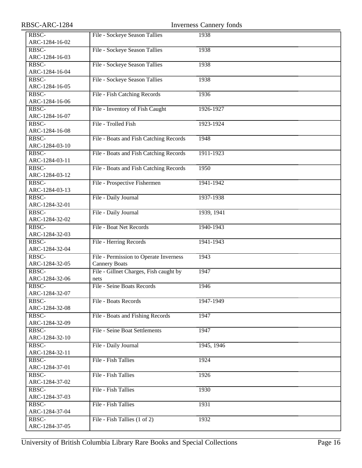| RBSC-ARC-1284           | <b>Inverness Cannery fonds</b>                                 |            |  |  |
|-------------------------|----------------------------------------------------------------|------------|--|--|
| RBSC-<br>ARC-1284-16-02 | File - Sockeye Season Tallies                                  | 1938       |  |  |
| RBSC-<br>ARC-1284-16-03 | File - Sockeye Season Tallies                                  | 1938       |  |  |
| RBSC-<br>ARC-1284-16-04 | File - Sockeye Season Tallies                                  | 1938       |  |  |
| RBSC-<br>ARC-1284-16-05 | File - Sockeye Season Tallies                                  | 1938       |  |  |
| RBSC-<br>ARC-1284-16-06 | File - Fish Catching Records                                   | 1936       |  |  |
| RBSC-<br>ARC-1284-16-07 | File - Inventory of Fish Caught                                | 1926-1927  |  |  |
| RBSC-<br>ARC-1284-16-08 | File - Trolled Fish                                            | 1923-1924  |  |  |
| RBSC-<br>ARC-1284-03-10 | File - Boats and Fish Catching Records                         | 1948       |  |  |
| RBSC-<br>ARC-1284-03-11 | File - Boats and Fish Catching Records                         | 1911-1923  |  |  |
| RBSC-<br>ARC-1284-03-12 | File - Boats and Fish Catching Records                         | 1950       |  |  |
| RBSC-<br>ARC-1284-03-13 | File - Prospective Fishermen                                   | 1941-1942  |  |  |
| RBSC-<br>ARC-1284-32-01 | File - Daily Journal                                           | 1937-1938  |  |  |
| RBSC-<br>ARC-1284-32-02 | File - Daily Journal                                           | 1939, 1941 |  |  |
| RBSC-<br>ARC-1284-32-03 | File - Boat Net Records                                        | 1940-1943  |  |  |
| RBSC-<br>ARC-1284-32-04 | File - Herring Records                                         | 1941-1943  |  |  |
| RBSC-<br>ARC-1284-32-05 | File - Permission to Operate Inverness<br><b>Cannery Boats</b> | 1943       |  |  |
| RBSC-<br>ARC-1284-32-06 | File - Gillnet Charges, Fish caught by<br>nets                 | 1947       |  |  |
| RBSC-<br>ARC-1284-32-07 | <b>File - Seine Boats Records</b>                              | 1946       |  |  |
| RBSC-<br>ARC-1284-32-08 | File - Boats Records                                           | 1947-1949  |  |  |
| RBSC-<br>ARC-1284-32-09 | File - Boats and Fishing Records                               | 1947       |  |  |
| RBSC-<br>ARC-1284-32-10 | <b>File - Seine Boat Settlements</b>                           | 1947       |  |  |
| RBSC-<br>ARC-1284-32-11 | File - Daily Journal                                           | 1945, 1946 |  |  |
| RBSC-<br>ARC-1284-37-01 | File - Fish Tallies                                            | 1924       |  |  |
| RBSC-<br>ARC-1284-37-02 | File - Fish Tallies                                            | 1926       |  |  |
| RBSC-<br>ARC-1284-37-03 | File - Fish Tallies                                            | 1930       |  |  |
| RBSC-<br>ARC-1284-37-04 | File - Fish Tallies                                            | 1931       |  |  |
| RBSC-<br>ARC-1284-37-05 | File - Fish Tallies (1 of 2)                                   | 1932       |  |  |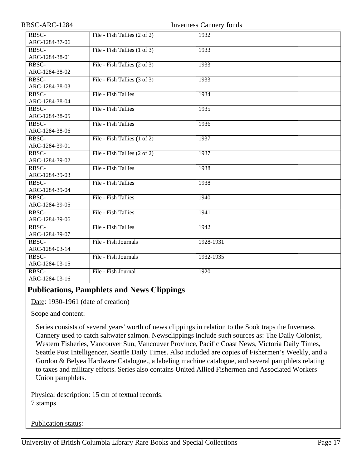| RBSC-ARC-1284  |                              | <b>Inverness Cannery fonds</b> |  |
|----------------|------------------------------|--------------------------------|--|
| RBSC-          | File - Fish Tallies (2 of 2) | 1932                           |  |
| ARC-1284-37-06 |                              |                                |  |
| RBSC-          | File - Fish Tallies (1 of 3) | 1933                           |  |
| ARC-1284-38-01 |                              |                                |  |
| RBSC-          | File - Fish Tallies (2 of 3) | 1933                           |  |
| ARC-1284-38-02 |                              |                                |  |
| RBSC-          | File - Fish Tallies (3 of 3) | 1933                           |  |
| ARC-1284-38-03 |                              |                                |  |
| RBSC-          | File - Fish Tallies          | 1934                           |  |
| ARC-1284-38-04 |                              |                                |  |
| RBSC-          | File - Fish Tallies          | 1935                           |  |
| ARC-1284-38-05 |                              |                                |  |
| RBSC-          | File - Fish Tallies          | 1936                           |  |
| ARC-1284-38-06 |                              |                                |  |
| RBSC-          | File - Fish Tallies (1 of 2) | 1937                           |  |
| ARC-1284-39-01 |                              |                                |  |
| RBSC-          | File - Fish Tallies (2 of 2) | 1937                           |  |
| ARC-1284-39-02 |                              |                                |  |
| RBSC-          | File - Fish Tallies          | 1938                           |  |
| ARC-1284-39-03 |                              |                                |  |
| RBSC-          | File - Fish Tallies          | 1938                           |  |
| ARC-1284-39-04 |                              |                                |  |
| RBSC-          | File - Fish Tallies          | 1940                           |  |
| ARC-1284-39-05 |                              |                                |  |
| RBSC-          | File - Fish Tallies          | 1941                           |  |
| ARC-1284-39-06 |                              |                                |  |
| RBSC-          | File - Fish Tallies          | 1942                           |  |
| ARC-1284-39-07 |                              |                                |  |
| RBSC-          | File - Fish Journals         | 1928-1931                      |  |
| ARC-1284-03-14 |                              |                                |  |
| RBSC-          | File - Fish Journals         | 1932-1935                      |  |
| ARC-1284-03-15 |                              |                                |  |
| RBSC-          | File - Fish Journal          | 1920                           |  |
| ARC-1284-03-16 |                              |                                |  |

## <span id="page-16-0"></span>**Publications, Pamphlets and News Clippings**

Date: 1930-1961 (date of creation)

Scope and content:

Series consists of several years' worth of news clippings in relation to the Sook traps the Inverness Cannery used to catch saltwater salmon. Newsclippings include such sources as: The Daily Colonist, Western Fisheries, Vancouver Sun, Vancouver Province, Pacific Coast News, Victoria Daily Times, Seattle Post Intelligencer, Seattle Daily Times. Also included are copies of Fishermen's Weekly, and a Gordon & Belyea Hardware Catalogue., a labeling machine catalogue, and several pamphlets relating to taxes and military efforts. Series also contains United Allied Fishermen and Associated Workers Union pamphlets.

Physical description: 15 cm of textual records. 7 stamps

Publication status: